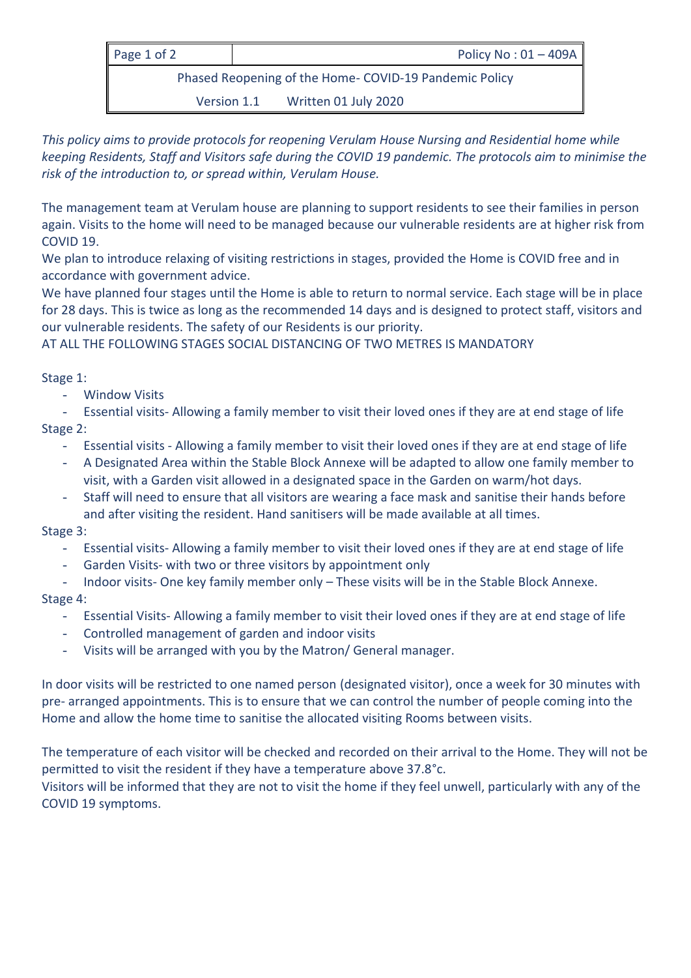| Page 1 of 2                                           | Policy No: $01 - 409A$ |  |  |
|-------------------------------------------------------|------------------------|--|--|
| Phased Reopening of the Home-COVID-19 Pandemic Policy |                        |  |  |
| Version 1.1                                           | Written 01 July 2020   |  |  |

*This policy aims to provide protocols for reopening Verulam House Nursing and Residential home while keeping Residents, Staff and Visitors safe during the COVID 19 pandemic. The protocols aim to minimise the risk of the introduction to, or spread within, Verulam House.* 

The management team at Verulam house are planning to support residents to see their families in person again. Visits to the home will need to be managed because our vulnerable residents are at higher risk from COVID 19.

We plan to introduce relaxing of visiting restrictions in stages, provided the Home is COVID free and in accordance with government advice.

We have planned four stages until the Home is able to return to normal service. Each stage will be in place for 28 days. This is twice as long as the recommended 14 days and is designed to protect staff, visitors and our vulnerable residents. The safety of our Residents is our priority.

AT ALL THE FOLLOWING STAGES SOCIAL DISTANCING OF TWO METRES IS MANDATORY

## Stage 1:

**Window Visits** 

- Essential visits- Allowing a family member to visit their loved ones if they are at end stage of life Stage 2:

- Essential visits Allowing a family member to visit their loved ones if they are at end stage of life
- A Designated Area within the Stable Block Annexe will be adapted to allow one family member to visit, with a Garden visit allowed in a designated space in the Garden on warm/hot days.
- Staff will need to ensure that all visitors are wearing a face mask and sanitise their hands before and after visiting the resident. Hand sanitisers will be made available at all times.

## Stage 3:

- Essential visits- Allowing a family member to visit their loved ones if they are at end stage of life
- Garden Visits- with two or three visitors by appointment only
- Indoor visits- One key family member only These visits will be in the Stable Block Annexe.

## Stage 4:

- Essential Visits- Allowing a family member to visit their loved ones if they are at end stage of life
- Controlled management of garden and indoor visits
- Visits will be arranged with you by the Matron/ General manager.

In door visits will be restricted to one named person (designated visitor), once a week for 30 minutes with pre- arranged appointments. This is to ensure that we can control the number of people coming into the Home and allow the home time to sanitise the allocated visiting Rooms between visits.

The temperature of each visitor will be checked and recorded on their arrival to the Home. They will not be permitted to visit the resident if they have a temperature above 37.8°c.

Visitors will be informed that they are not to visit the home if they feel unwell, particularly with any of the COVID 19 symptoms.